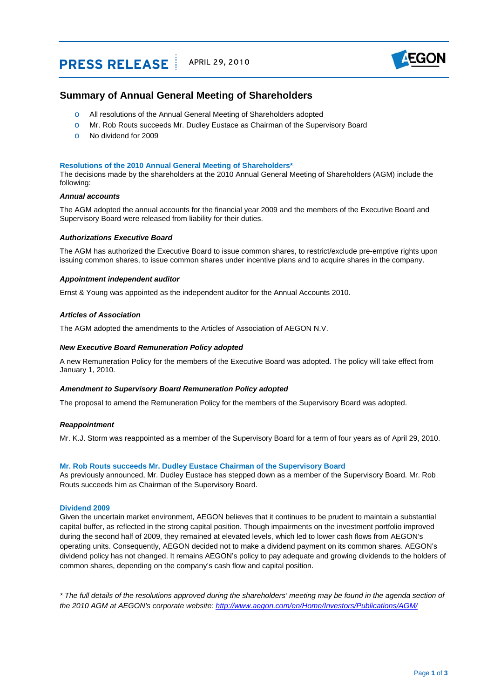# **PRESS RELEASE** APRIL 29, 2010



# **Summary of Annual General Meeting of Shareholders**

- o All resolutions of the Annual General Meeting of Shareholders adopted
- o Mr. Rob Routs succeeds Mr. Dudley Eustace as Chairman of the Supervisory Board
- o No dividend for 2009

# **Resolutions of the 2010 Annual General Meeting of Shareholders\***

The decisions made by the shareholders at the 2010 Annual General Meeting of Shareholders (AGM) include the following:

# *Annual accounts*

The AGM adopted the annual accounts for the financial year 2009 and the members of the Executive Board and Supervisory Board were released from liability for their duties.

# *Authorizations Executive Board*

The AGM has authorized the Executive Board to issue common shares, to restrict/exclude pre-emptive rights upon issuing common shares, to issue common shares under incentive plans and to acquire shares in the company.

# *Appointment independent auditor*

Ernst & Young was appointed as the independent auditor for the Annual Accounts 2010.

# *Articles of Association*

The AGM adopted the amendments to the Articles of Association of AEGON N.V.

# *New Executive Board Remuneration Policy adopted*

A new Remuneration Policy for the members of the Executive Board was adopted. The policy will take effect from January 1, 2010.

#### *Amendment to Supervisory Board Remuneration Policy adopted*

The proposal to amend the Remuneration Policy for the members of the Supervisory Board was adopted.

# *Reappointment*

Mr. K.J. Storm was reappointed as a member of the Supervisory Board for a term of four years as of April 29, 2010.

#### **Mr. Rob Routs succeeds Mr. Dudley Eustace Chairman of the Supervisory Board**

As previously announced, Mr. Dudley Eustace has stepped down as a member of the Supervisory Board. Mr. Rob Routs succeeds him as Chairman of the Supervisory Board.

# **Dividend 2009**

Given the uncertain market environment, AEGON believes that it continues to be prudent to maintain a substantial capital buffer, as reflected in the strong capital position. Though impairments on the investment portfolio improved during the second half of 2009, they remained at elevated levels, which led to lower cash flows from AEGON's operating units. Consequently, AEGON decided not to make a dividend payment on its common shares. AEGON's dividend policy has not changed. It remains AEGON's policy to pay adequate and growing dividends to the holders of common shares, depending on the company's cash flow and capital position.

*\* The full details of the resolutions approved during the shareholders' meeting may be found in the agenda section of the 2010 AGM at AEGON's corporate website:<http://www.aegon.com/en/Home/Investors/Publications/AGM/>*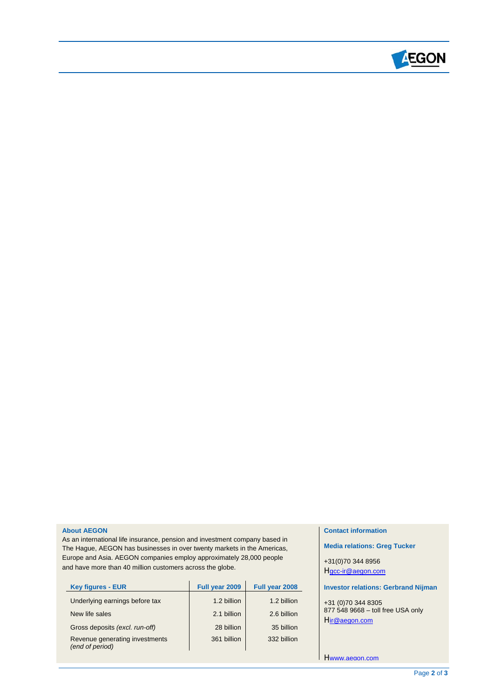

# **About AEGON**

As an international life insurance, pension and investment company based in The Hague, AEGON has businesses in over twenty markets in the Americas, Europe and Asia. AEGON companies employ approximately 28,000 people and have more than 40 million customers across the globe.

| <b>Key figures - EUR</b>                          | Full year 2009 | Full year 2008 |
|---------------------------------------------------|----------------|----------------|
| Underlying earnings before tax                    | 1.2 billion    | 1.2 billion    |
| New life sales                                    | 2.1 billion    | 2.6 billion    |
| Gross deposits (excl. run-off)                    | 28 billion     | 35 billion     |
| Revenue generating investments<br>(end of period) | 361 billion    | 332 billion    |

# **Contact information**

**Media relations: Greg Tucker** 

+31(0)70 344 8956 Hgcc-ir@aegon.com

# **Investor relations: Gerbrand Nijman**

+31 (0)70 344 8305 877 548 9668 – toll free USA only Hir@aegon.com

Hwww.aegon.com